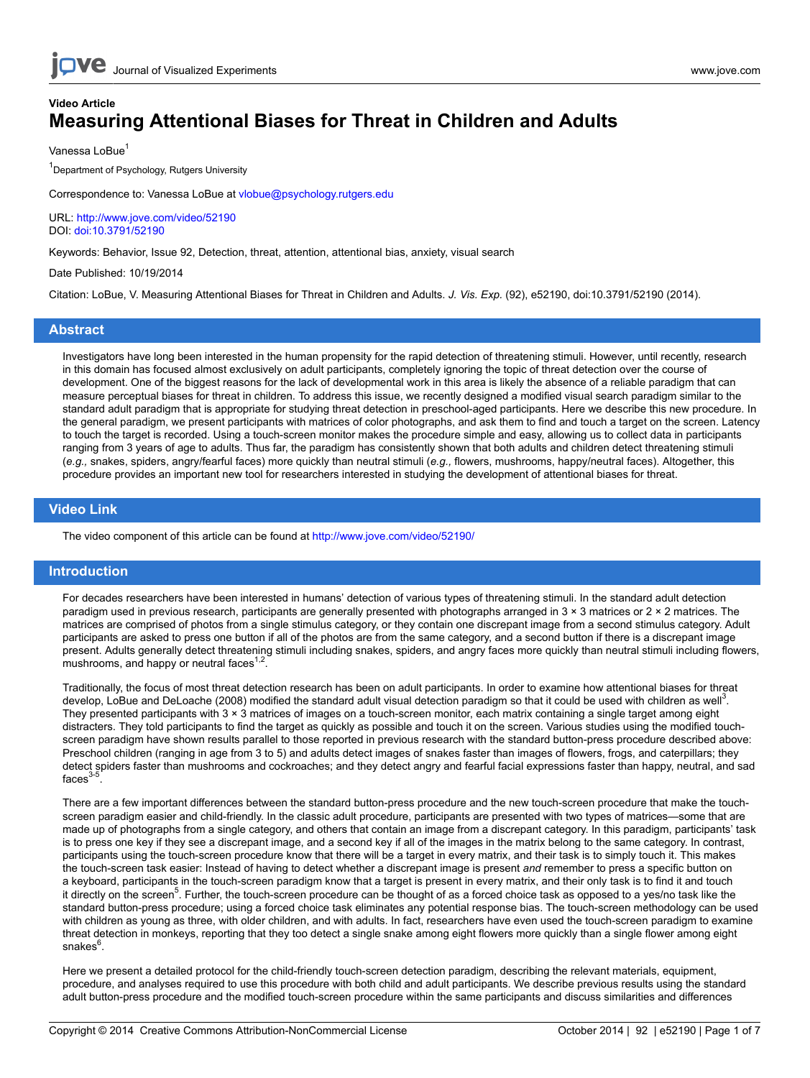# **Video Article Measuring Attentional Biases for Threat in Children and Adults**

Vanessa LoBue<sup>1</sup>

<sup>1</sup>Department of Psychology, Rutgers University

Correspondence to: Vanessa LoBue at [vlobue@psychology.rutgers.edu](mailto:vlobue@psychology.rutgers.edu)

#### URL:<http://www.jove.com/video/52190> DOI: [doi:10.3791/52190](http://dx.doi.org/10.3791/52190)

Keywords: Behavior, Issue 92, Detection, threat, attention, attentional bias, anxiety, visual search

#### Date Published: 10/19/2014

Citation: LoBue, V. Measuring Attentional Biases for Threat in Children and Adults. *J. Vis. Exp.* (92), e52190, doi:10.3791/52190 (2014).

## **Abstract**

Investigators have long been interested in the human propensity for the rapid detection of threatening stimuli. However, until recently, research in this domain has focused almost exclusively on adult participants, completely ignoring the topic of threat detection over the course of development. One of the biggest reasons for the lack of developmental work in this area is likely the absence of a reliable paradigm that can measure perceptual biases for threat in children. To address this issue, we recently designed a modified visual search paradigm similar to the standard adult paradigm that is appropriate for studying threat detection in preschool-aged participants. Here we describe this new procedure. In the general paradigm, we present participants with matrices of color photographs, and ask them to find and touch a target on the screen. Latency to touch the target is recorded. Using a touch-screen monitor makes the procedure simple and easy, allowing us to collect data in participants ranging from 3 years of age to adults. Thus far, the paradigm has consistently shown that both adults and children detect threatening stimuli (*e.g.,* snakes, spiders, angry/fearful faces) more quickly than neutral stimuli (*e.g.,* flowers, mushrooms, happy/neutral faces). Altogether, this procedure provides an important new tool for researchers interested in studying the development of attentional biases for threat.

## **Video Link**

The video component of this article can be found at <http://www.jove.com/video/52190/>

### **Introduction**

For decades researchers have been interested in humans' detection of various types of threatening stimuli. In the standard adult detection paradigm used in previous research, participants are generally presented with photographs arranged in 3 × 3 matrices or 2 × 2 matrices. The matrices are comprised of photos from a single stimulus category, or they contain one discrepant image from a second stimulus category. Adult participants are asked to press one button if all of the photos are from the same category, and a second button if there is a discrepant image present. Adults generally detect threatening stimuli including snakes, spiders, and angry faces more quickly than neutral stimuli including flowers, mushrooms, and happy or neutral faces<sup>1,</sup> .

Traditionally, the focus of most threat detection research has been on adult participants. In order to examine how attentional biases for threat develop, LoBue and DeLoache (2008) modified the standard adult visual detection paradigm so that it could be used with children as well<sup>3</sup>. They presented participants with 3 × 3 matrices of images on a touch-screen monitor, each matrix containing a single target among eight distracters. They told participants to find the target as quickly as possible and touch it on the screen. Various studies using the modified touchscreen paradigm have shown results parallel to those reported in previous research with the standard button-press procedure described above: Preschool children (ranging in age from 3 to 5) and adults detect images of snakes faster than images of flowers, frogs, and caterpillars; they detect spiders faster than mushrooms and cockroaches; and they detect angry and fearful facial expressions faster than happy, neutral, and sad faces $3$ .

There are a few important differences between the standard button-press procedure and the new touch-screen procedure that make the touchscreen paradigm easier and child-friendly. In the classic adult procedure, participants are presented with two types of matrices—some that are made up of photographs from a single category, and others that contain an image from a discrepant category. In this paradigm, participants' task is to press one key if they see a discrepant image, and a second key if all of the images in the matrix belong to the same category. In contrast, participants using the touch-screen procedure know that there will be a target in every matrix, and their task is to simply touch it. This makes the touch-screen task easier: Instead of having to detect whether a discrepant image is present *and* remember to press a specific button on a keyboard, participants in the touch-screen paradigm know that a target is present in every matrix, and their only task is to find it and touch it directly on the screen<sup>5</sup>. Further, the touch-screen procedure can be thought of as a forced choice task as opposed to a yes/no task like the standard button-press procedure; using a forced choice task eliminates any potential response bias. The touch-screen methodology can be used with children as young as three, with older children, and with adults. In fact, researchers have even used the touch-screen paradigm to examine threat detection in monkeys, reporting that they too detect a single snake among eight flowers more quickly than a single flower among eight snakes $^6$ .

Here we present a detailed protocol for the child-friendly touch-screen detection paradigm, describing the relevant materials, equipment, procedure, and analyses required to use this procedure with both child and adult participants. We describe previous results using the standard adult button-press procedure and the modified touch-screen procedure within the same participants and discuss similarities and differences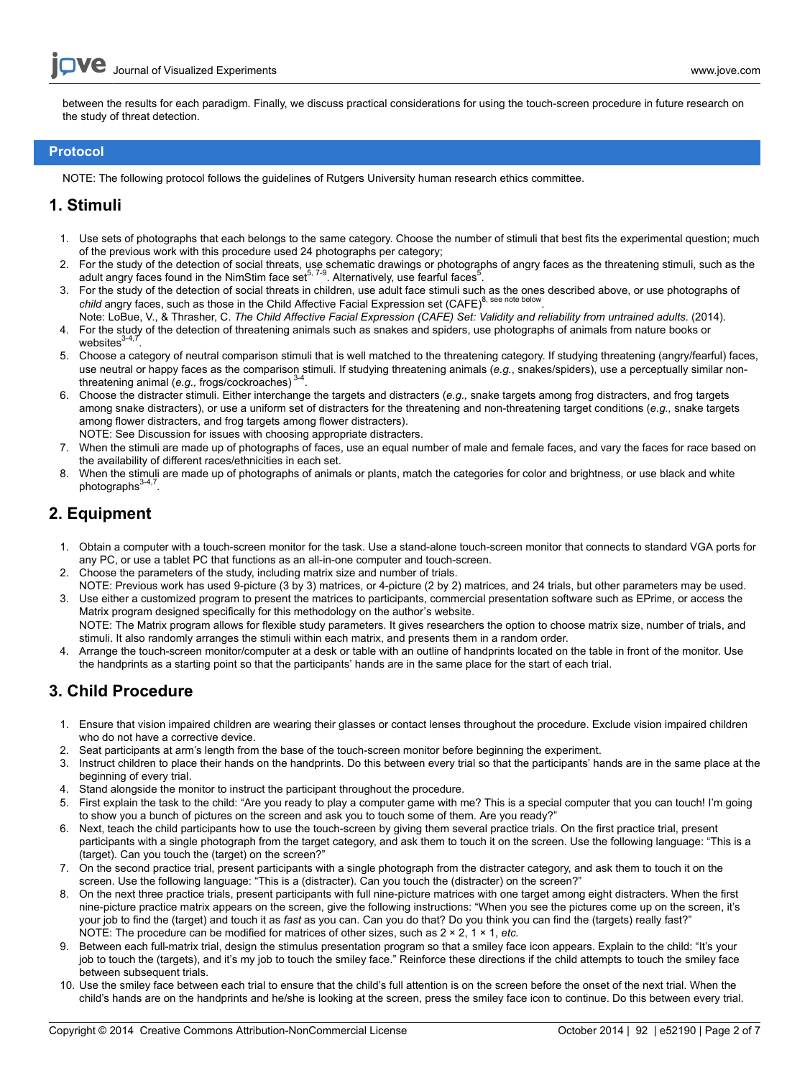between the results for each paradigm. Finally, we discuss practical considerations for using the touch-screen procedure in future research on the study of threat detection.

## **Protocol**

NOTE: The following protocol follows the guidelines of Rutgers University human research ethics committee.

# **1. Stimuli**

- 1. Use sets of photographs that each belongs to the same category. Choose the number of stimuli that best fits the experimental question; much of the previous work with this procedure used 24 photographs per category;
- 2. For the study of the detection of social threats, use schematic drawings or photographs of angry faces as the threatening stimuli, such as the<br>adult angry faces found in the NimStim face set<sup>5, 7-9</sup>. Alternatively, use
- 3. For the study of the detection of social threats in children, use adult face stimuli such as the ones described above, or use photographs of child angry faces, such as those in the Child Affective Facial Expression set (CAFE)<sup>8, see note below</sup> .
- Note: LoBue, V., & Thrasher, C. *The Child Affective Facial Expression (CAFE) Set: Validity and reliability from untrained adults. (*014). 4. For the study of the detection of threatening animals such as snakes and spiders, use photographs of animals from nature books or websites $3-4,7$ .
- 5. Choose a category of neutral comparison stimuli that is well matched to the threatening category. If studying threatening (angry/fearful) faces, use neutral or happy faces as the comparison stimuli. If studying threatening animals (*e.g.*, snakes/spiders), use a perceptually similar nonthreatening animal (*e.g.,* frogs/cockroaches) 3-4 .
- 6. Choose the distracter stimuli. Either interchange the targets and distracters (*e.g.,* snake targets among frog distracters, and frog targets among snake distracters), or use a uniform set of distracters for the threatening and non-threatening target conditions (*e.g.,* snake targets among flower distracters, and frog targets among flower distracters). NOTE: See Discussion for issues with choosing appropriate distracters.
- 7. When the stimuli are made up of photographs of faces, use an equal number of male and female faces, and vary the faces for race based on the availability of different races/ethnicities in each set.
- 8. When the stimuli are made up of photographs of animals or plants, match the categories for color and brightness, or use black and white photographs<sup>3-4,7</sup>.

# **2. Equipment**

- 1. Obtain a computer with a touch-screen monitor for the task. Use a stand-alone touch-screen monitor that connects to standard VGA ports for any PC, or use a tablet PC that functions as an all-in-one computer and touch-screen.
- 2. Choose the parameters of the study, including matrix size and number of trials.
- NOTE: Previous work has used 9-picture (3 by 3) matrices, or 4-picture (2 by 2) matrices, and 24 trials, but other parameters may be used. 3. Use either a customized program to present the matrices to participants, commercial presentation software such as EPrime, or access the Matrix program designed specifically for this methodology on the author's website.
- NOTE: The Matrix program allows for flexible study parameters. It gives researchers the option to choose matrix size, number of trials, and stimuli. It also randomly arranges the stimuli within each matrix, and presents them in a random order.
- 4. Arrange the touch-screen monitor/computer at a desk or table with an outline of handprints located on the table in front of the monitor. Use the handprints as a starting point so that the participants' hands are in the same place for the start of each trial.

# **3. Child Procedure**

- 1. Ensure that vision impaired children are wearing their glasses or contact lenses throughout the procedure. Exclude vision impaired children who do not have a corrective device.
- 2. Seat participants at arm's length from the base of the touch-screen monitor before beginning the experiment.
- 3. Instruct children to place their hands on the handprints. Do this between every trial so that the participants' hands are in the same place at the beginning of every trial.
- 4. Stand alongside the monitor to instruct the participant throughout the procedure.
- 5. First explain the task to the child: "Are you ready to play a computer game with me? This is a special computer that you can touch! I'm going to show you a bunch of pictures on the screen and ask you to touch some of them. Are you ready?"
- 6. Next, teach the child participants how to use the touch-screen by giving them several practice trials. On the first practice trial, present participants with a single photograph from the target category, and ask them to touch it on the screen. Use the following language: "This is a (target). Can you touch the (target) on the screen?"
- 7. On the second practice trial, present participants with a single photograph from the distracter category, and ask them to touch it on the screen. Use the following language: "This is a (distracter). Can you touch the (distracter) on the screen?"
- 8. On the next three practice trials, present participants with full nine-picture matrices with one target among eight distracters. When the first nine-picture practice matrix appears on the screen, give the following instructions: "When you see the pictures come up on the screen, it's your job to find the (target) and touch it as *fast* as you can. Can you do that? Do you think you can find the (targets) really fast?" NOTE: The procedure can be modified for matrices of other sizes, such as 2 × 2, 1 × 1, *etc.*
- 9. Between each full-matrix trial, design the stimulus presentation program so that a smiley face icon appears. Explain to the child: "It's your job to touch the (targets), and it's my job to touch the smiley face." Reinforce these directions if the child attempts to touch the smiley face between subsequent trials.
- 10. Use the smiley face between each trial to ensure that the child's full attention is on the screen before the onset of the next trial. When the child's hands are on the handprints and he/she is looking at the screen, press the smiley face icon to continue. Do this between every trial.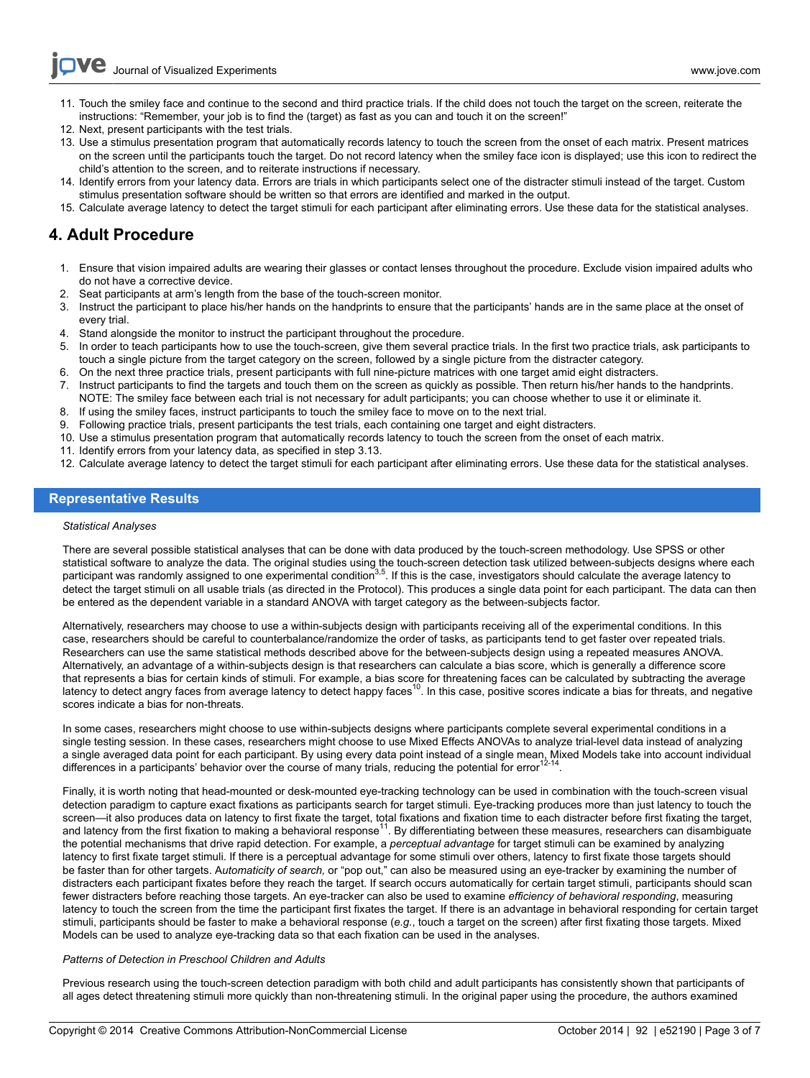**Ove** Journal of Visualized [Experiments](http://www.jove.com) [www.jove.com](http://www.jove.com)

- 11. Touch the smiley face and continue to the second and third practice trials. If the child does not touch the target on the screen, reiterate the instructions: "Remember, your job is to find the (target) as fast as you can and touch it on the screen!"
- 12. Next, present participants with the test trials.
- 13. Use a stimulus presentation program that automatically records latency to touch the screen from the onset of each matrix. Present matrices on the screen until the participants touch the target. Do not record latency when the smiley face icon is displayed; use this icon to redirect the child's attention to the screen, and to reiterate instructions if necessary.
- 14. Identify errors from your latency data. Errors are trials in which participants select one of the distracter stimuli instead of the target. Custom stimulus presentation software should be written so that errors are identified and marked in the output.
- 15. Calculate average latency to detect the target stimuli for each participant after eliminating errors. Use these data for the statistical analyses.

# **4. Adult Procedure**

- 1. Ensure that vision impaired adults are wearing their glasses or contact lenses throughout the procedure. Exclude vision impaired adults who do not have a corrective device.
- 2. Seat participants at arm's length from the base of the touch-screen monitor.
- 3. Instruct the participant to place his/her hands on the handprints to ensure that the participants' hands are in the same place at the onset of every trial.
- 4. Stand alongside the monitor to instruct the participant throughout the procedure.
- 5. In order to teach participants how to use the touch-screen, give them several practice trials. In the first two practice trials, ask participants to touch a single picture from the target category on the screen, followed by a single picture from the distracter category.
- 6. On the next three practice trials, present participants with full nine-picture matrices with one target amid eight distracters.
- 7. Instruct participants to find the targets and touch them on the screen as quickly as possible. Then return his/her hands to the handprints. NOTE: The smiley face between each trial is not necessary for adult participants; you can choose whether to use it or eliminate it.
- 8. If using the smiley faces, instruct participants to touch the smiley face to move on to the next trial.
- 9. Following practice trials, present participants the test trials, each containing one target and eight distracters.
- 10. Use a stimulus presentation program that automatically records latency to touch the screen from the onset of each matrix.
- 11. Identify errors from your latency data, as specified in step 3.13.
- 12. Calculate average latency to detect the target stimuli for each participant after eliminating errors. Use these data for the statistical analyses.

## **Representative Results**

#### *Statistical Analyses*

There are several possible statistical analyses that can be done with data produced by the touch-screen methodology. Use SPSS or other statistical software to analyze the data. The original studies using the touch-screen detection task utilized between-subjects designs where each participant was randomly assigned to one experimental condition<sup>3,5</sup>. If this is the case, investigators should calculate the average latency to detect the target stimuli on all usable trials (as directed in the Protocol). This produces a single data point for each participant. The data can then be entered as the dependent variable in a standard ANOVA with target category as the between-subjects factor.

Alternatively, researchers may choose to use a within-subjects design with participants receiving all of the experimental conditions. In this case, researchers should be careful to counterbalance/randomize the order of tasks, as participants tend to get faster over repeated trials. Researchers can use the same statistical methods described above for the between-subjects design using a repeated measures ANOVA. Alternatively, an advantage of a within-subjects design is that researchers can calculate a bias score, which is generally a difference score that represents a bias for certain kinds of stimuli. For example, a bias score for threatening faces can be calculated by subtracting the average latency to detect angry faces from average latency to detect happy faces<sup>10</sup>. In this case, positive scores indicate a bias for threats, and negative scores indicate a bias for non-threats.

In some cases, researchers might choose to use within-subjects designs where participants complete several experimental conditions in a single testing session. In these cases, researchers might choose to use Mixed Effects ANOVAs to analyze trial-level data instead of analyzing a single averaged data point for each participant. By using every data point instead of a single mean, Mixed Models take into account individual differences in a participants' behavior over the course of many trials, reducing the potential for error<sup>12-14</sup>.

Finally, it is worth noting that head-mounted or desk-mounted eye-tracking technology can be used in combination with the touch-screen visual detection paradigm to capture exact fixations as participants search for target stimuli. Eye-tracking produces more than just latency to touch the screen—it also produces data on latency to first fixate the target, total fixations and fixation time to each distracter before first fixating the target, and latency from the first fixation to making a behavioral response<sup>11</sup>. By differentiating between these measures, researchers can disambiguate the potential mechanisms that drive rapid detection. For example, a *perceptual advantage* for target stimuli can be examined by analyzing latency to first fixate target stimuli. If there is a perceptual advantage for some stimuli over others, latency to first fixate those targets should be faster than for other targets. A*utomaticity of search,* or "pop out," can also be measured using an eye-tracker by examining the number of distracters each participant fixates before they reach the target. If search occurs automatically for certain target stimuli, participants should scan fewer distracters before reaching those targets. An eye-tracker can also be used to examine *efficiency of behavioral responding*, measuring latency to touch the screen from the time the participant first fixates the target. If there is an advantage in behavioral responding for certain target stimuli, participants should be faster to make a behavioral response (*e.g.*, touch a target on the screen) after first fixating those targets. Mixed Models can be used to analyze eye-tracking data so that each fixation can be used in the analyses.

#### *Patterns of Detection in Preschool Children and Adults*

Previous research using the touch-screen detection paradigm with both child and adult participants has consistently shown that participants of all ages detect threatening stimuli more quickly than non-threatening stimuli. In the original paper using the procedure, the authors examined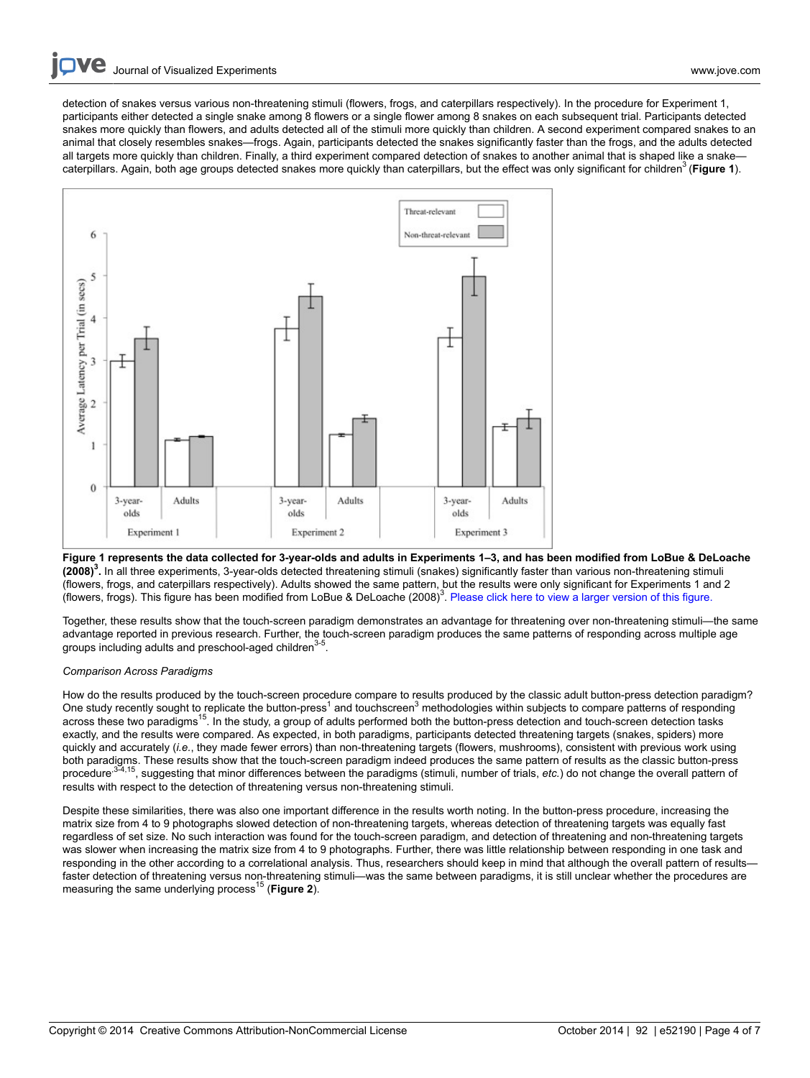Journal of Visualized [Experiments](http://www.jove.com) [www.jove.com](http://www.jove.com)

detection of snakes versus various non-threatening stimuli (flowers, frogs, and caterpillars respectively). In the procedure for Experiment 1, participants either detected a single snake among 8 flowers or a single flower among 8 snakes on each subsequent trial. Participants detected snakes more quickly than flowers, and adults detected all of the stimuli more quickly than children. A second experiment compared snakes to an animal that closely resembles snakes—frogs. Again, participants detected the snakes significantly faster than the frogs, and the adults detected all targets more quickly than children. Finally, a third experiment compared detection of snakes to another animal that is shaped like a snake caterpillars. Again, both age groups detected snakes more quickly than caterpillars, but the effect was only significant for children <sup>3</sup>(**Figure 1**).



**Figure 1 represents the data collected for 3-year-olds and adults in Experiments 1–3, and has been modified from LoBue & DeLoache (2008)<sup>3</sup> .** In all three experiments, 3-year-olds detected threatening stimuli (snakes) significantly faster than various non-threatening stimuli (flowers, frogs, and caterpillars respectively). Adults showed the same pattern, but the results were only significant for Experiments 1 and 2 (flowers, frogs). This figure has been modified from LoBue & DeLoache (2008)<sup>3</sup>. [Please click here to view a larger version of this figure.](https://www.jove.com/files/ftp_upload/52190/52190fig1highres.jpg)

Together, these results show that the touch-screen paradigm demonstrates an advantage for threatening over non-threatening stimuli—the same advantage reported in previous research. Further, the touch-screen paradigm produces the same patterns of responding across multiple age groups including adults and preschool-aged children<sup>3</sup> .

### *Comparison Across Paradigms*

How do the results produced by the touch-screen procedure compare to results produced by the classic adult button-press detection paradigm? One study recently sought to replicate the button-press<sup>1</sup> and touchscreen<sup>3</sup> methodologies within subjects to compare patterns of responding across these two paradigms<sup>15</sup>. In the study, a group of adults performed both the button-press detection and touch-screen detection tasks exactly, and the results were compared. As expected, in both paradigms, participants detected threatening targets (snakes, spiders) more quickly and accurately (*i.e.*, they made fewer errors) than non-threatening targets (flowers, mushrooms), consistent with previous work using both paradigms. These results show that the touch-screen paradigm indeed produces the same pattern of results as the classic button-press procedure<sup>3</sup> , suggesting that minor differences between the paradigms (stimuli, number of trials, *etc.*) do not change the overall pattern of results with respect to the detection of threatening versus non-threatening stimuli.

Despite these similarities, there was also one important difference in the results worth noting. In the button-press procedure, increasing the matrix size from 4 to 9 photographs slowed detection of non-threatening targets, whereas detection of threatening targets was equally fast regardless of set size. No such interaction was found for the touch-screen paradigm, and detection of threatening and non-threatening targets was slower when increasing the matrix size from 4 to 9 photographs. Further, there was little relationship between responding in one task and responding in the other according to a correlational analysis. Thus, researchers should keep in mind that although the overall pattern of results faster detection of threatening versus non-threatening stimuli—was the same between paradigms, it is still unclear whether the procedures are measuring the same underlying process<sup>15</sup> (Figure 2).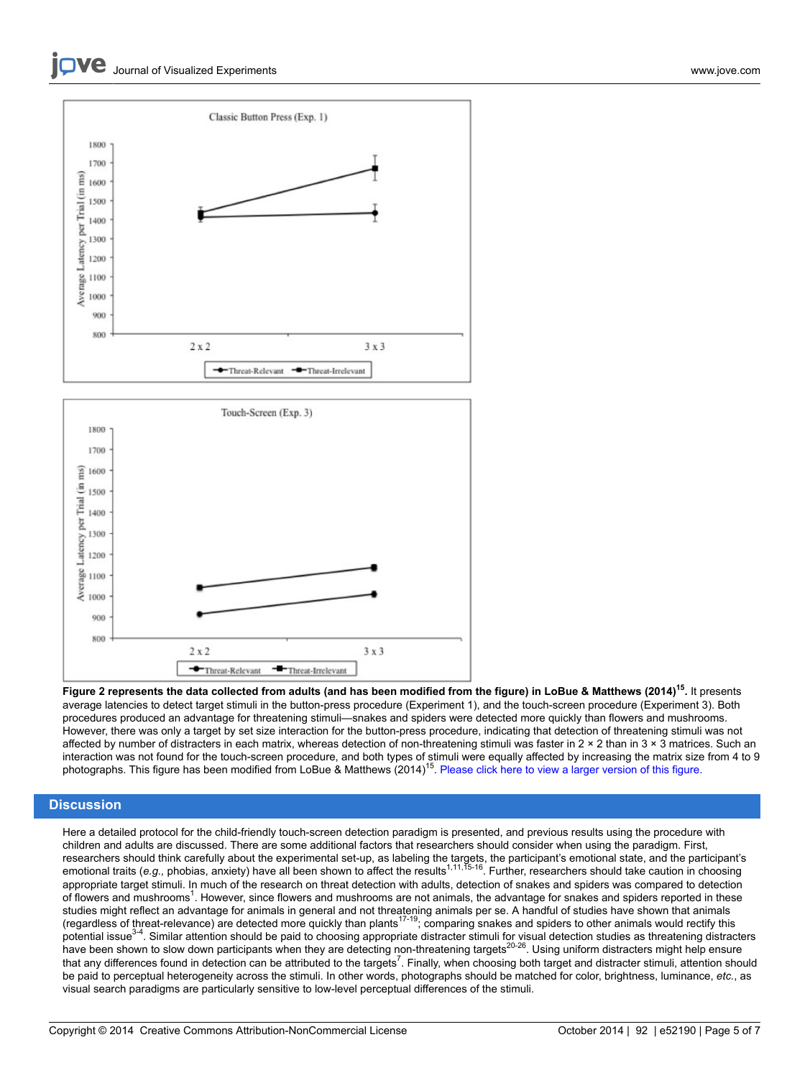

**Figure 2 represents the data collected from adults (and has been modified from the figure) in LoBue & Matthews (2014)<sup>15</sup> .** It presents average latencies to detect target stimuli in the button-press procedure (Experiment 1), and the touch-screen procedure (Experiment 3). Both procedures produced an advantage for threatening stimuli—snakes and spiders were detected more quickly than flowers and mushrooms. However, there was only a target by set size interaction for the button-press procedure, indicating that detection of threatening stimuli was not affected by number of distracters in each matrix, whereas detection of non-threatening stimuli was faster in  $2 \times 2$  than in  $3 \times 3$  matrices. Such an interaction was not found for the touch-screen procedure, and both types of stimuli were equally affected by increasing the matrix size from 4 to 9 photographs. This figure has been modified from LoBue & Matthews (2014)<sup>15</sup>. [Please click here to view a larger version of this figure.](https://www.jove.com/files/ftp_upload/52190/52190fig2highres.jpg)

 $3x3$ 

Threat-Irrelevant

## **Discussion**

Here a detailed protocol for the child-friendly touch-screen detection paradigm is presented, and previous results using the procedure with children and adults are discussed. There are some additional factors that researchers should consider when using the paradigm. First, researchers should think carefully about the experimental set-up, as labeling the targets, the participant's emotional state, and the participant's emotional traits (e.g., phobias, anxiety) have all been shown to affect the results<sup>1,11,15-16</sup>. Further, researchers should take caution in choosing appropriate target stimuli. In much of the research on threat detection with adults, detection of snakes and spiders was compared to detection of flowers and mushrooms<sup>1</sup>. However, since flowers and mushrooms are not animals, the advantage for snakes and spiders reported in these studies might reflect an advantage for animals in general and not threatening animals per se. A handful of studies have shown that animals<br>(regardless of threat-relevance) are detected more quickly than plants<sup>17-19</sup>; comp potential issue<sup>3-4</sup>. Similar attention should be paid to choosing appropriate distracter stimuli for visual detection studies as threatening distracters have been shown to slow down participants when they are detecting non-threatening targets<sup>20-26</sup>. Using uniform distracters might help ensure that any differences found in detection can be attributed to the targets<sup>7</sup>. Finally, when choosing both target and distracter stimuli, attention should be paid to perceptual heterogeneity across the stimuli. In other words, photographs should be matched for color, brightness, luminance, *etc.*, as visual search paradigms are particularly sensitive to low-level perceptual differences of the stimuli.

 $2x2$ 

Threat-Relevant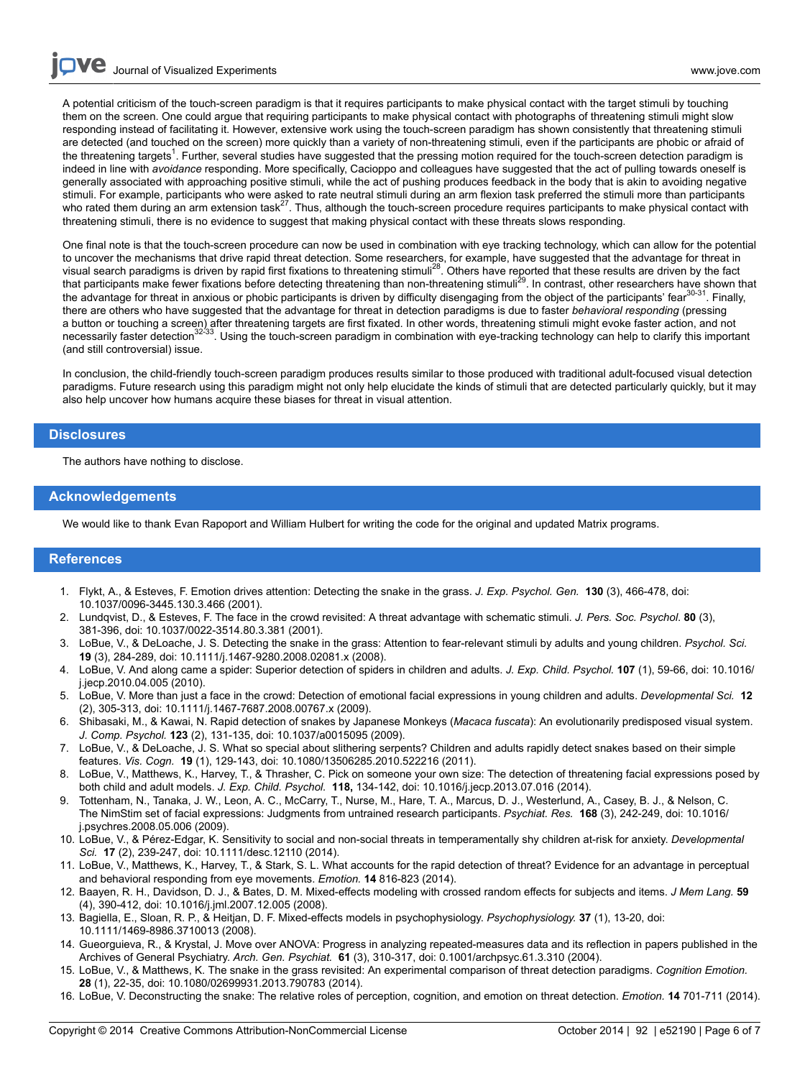A potential criticism of the touch-screen paradigm is that it requires participants to make physical contact with the target stimuli by touching them on the screen. One could argue that requiring participants to make physical contact with photographs of threatening stimuli might slow responding instead of facilitating it. However, extensive work using the touch-screen paradigm has shown consistently that threatening stimuli are detected (and touched on the screen) more quickly than a variety of non-threatening stimuli, even if the participants are phobic or afraid of the threatening targets<sup>1</sup>. Further, several studies have suggested that the pressing motion required for the touch-screen detection paradigm is indeed in line with *avoidance* responding. More specifically, Cacioppo and colleagues have suggested that the act of pulling towards oneself is generally associated with approaching positive stimuli, while the act of pushing produces feedback in the body that is akin to avoiding negative stimuli. For example, participants who were asked to rate neutral stimuli during an arm flexion task preferred the stimuli more than participants<br>who rated them during an arm extension task<sup>27</sup>. Thus, although the touch-sc threatening stimuli, there is no evidence to suggest that making physical contact with these threats slows responding.

One final note is that the touch-screen procedure can now be used in combination with eye tracking technology, which can allow for the potential to uncover the mechanisms that drive rapid threat detection. Some researchers, for example, have suggested that the advantage for threat in visual search paradigms is driven by rapid first fixations to threatening stimuli<sup>28</sup>. Others have reported that these results are driven by the fact that participants make fewer fixations before detecting threatening than non-threatening stimuli<sup>29</sup>. In contrast, other researchers have shown that the advantage for threat in anxious or phobic participants is driven by difficulty disengaging from the object of the participants' fear<sup>30-31</sup>. Finally, there are others who have suggested that the advantage for threat in detection paradigms is due to faster *behavioral responding* (pressing a button or touching a screen) after threatening targets are first fixated. In other words, threatening stimuli might evoke faster action, and not<br>necessarily faster detection<sup>32-33</sup>. Using the touch-screen paradigm in com (and still controversial) issue.

In conclusion, the child-friendly touch-screen paradigm produces results similar to those produced with traditional adult-focused visual detection paradigms. Future research using this paradigm might not only help elucidate the kinds of stimuli that are detected particularly quickly, but it may also help uncover how humans acquire these biases for threat in visual attention.

### **Disclosures**

The authors have nothing to disclose.

#### **Acknowledgements**

We would like to thank Evan Rapoport and William Hulbert for writing the code for the original and updated Matrix programs.

## **References**

- 1. Flykt, A., & Esteves, F. Emotion drives attention: Detecting the snake in the grass. *J. Exp. Psychol. Gen.* **130** (3), 466-478, doi: 10.1037/0096-3445.130.3.466 (2001).
- 2. Lundqvist, D., & Esteves, F. The face in the crowd revisited: A threat advantage with schematic stimuli. *J. Pers. Soc. Psychol*. **80** (3), 381-396, doi: 10.1037/0022-3514.80.3.381 (2001).
- 3. LoBue, V., & DeLoache, J. S. Detecting the snake in the grass: Attention to fear-relevant stimuli by adults and young children. *Psychol. Sci.* **19** (3), 284-289, doi: 10.1111/j.1467-9280.2008.02081.x (2008).
- 4. LoBue, V. And along came a spider: Superior detection of spiders in children and adults. *J. Exp. Child. Psychol.* **107** (1), 59-66, doi: 10.1016/ j.jecp.2010.04.005 (2010).
- 5. LoBue, V. More than just a face in the crowd: Detection of emotional facial expressions in young children and adults. *Developmental Sci.* **12** (2), 305-313, doi: 10.1111/j.1467-7687.2008.00767.x (2009).
- 6. Shibasaki, M., & Kawai, N. Rapid detection of snakes by Japanese Monkeys (*Macaca fuscata*): An evolutionarily predisposed visual system. *J. Comp. Psychol.* **123** (2), 131-135, doi: 10.1037/a0015095 (2009).
- 7. LoBue, V., & DeLoache, J. S. What so special about slithering serpents? Children and adults rapidly detect snakes based on their simple features. *Vis. Cogn.* **19** (1), 129-143, doi: 10.1080/13506285.2010.522216 (2011).
- 8. LoBue, V., Matthews, K., Harvey, T., & Thrasher, C. Pick on someone your own size: The detection of threatening facial expressions posed by both child and adult models. *J. Exp. Child. Psychol.* **118,** 134-142, doi: 10.1016/j.jecp.2013.07.016 (2014).
- 9. Tottenham, N., Tanaka, J. W., Leon, A. C., McCarry, T., Nurse, M., Hare, T. A., Marcus, D. J., Westerlund, A., Casey, B. J., & Nelson, C. The NimStim set of facial expressions: Judgments from untrained research participants. *Psychiat. Res.* **168** (3), 242-249, doi: 10.1016/ j.psychres.2008.05.006 (2009).
- 10. LoBue, V., & Pérez-Edgar, K. Sensitivity to social and non-social threats in temperamentally shy children at-risk for anxiety. *Developmental Sci.* **17** (2), 239-247, doi: 10.1111/desc.12110 (2014).
- 11. LoBue, V., Matthews, K., Harvey, T., & Stark, S. L. What accounts for the rapid detection of threat? Evidence for an advantage in perceptual and behavioral responding from eye movements. *Emotion.* **14** 816-823 (2014).
- 12. Baayen, R. H., Davidson, D. J., & Bates, D. M. Mixed-effects modeling with crossed random effects for subjects and items. *J Mem Lang.* **59** (4), 390-412, doi: 10.1016/j.jml.2007.12.005 (2008).
- 13. Bagiella, E., Sloan, R. P., & Heitjan, D. F. Mixed-effects models in psychophysiology. *Psychophysiology.* **37** (1), 13-20, doi: 10.1111/1469-8986.3710013 (2008).
- 14. Gueorguieva, R., & Krystal, J. Move over ANOVA: Progress in analyzing repeated-measures data and its reflection in papers published in the Archives of General Psychiatry. *Arch. Gen. Psychiat.* **61** (3), 310-317, doi: 0.1001/archpsyc.61.3.310 (2004).
- 15. LoBue, V., & Matthews, K. The snake in the grass revisited: An experimental comparison of threat detection paradigms. *Cognition Emotion.* **28** (1), 22-35, doi: 10.1080/02699931.2013.790783 (2014).
- 16. LoBue, V. Deconstructing the snake: The relative roles of perception, cognition, and emotion on threat detection. *Emotion.* **14** 701-711 (2014).